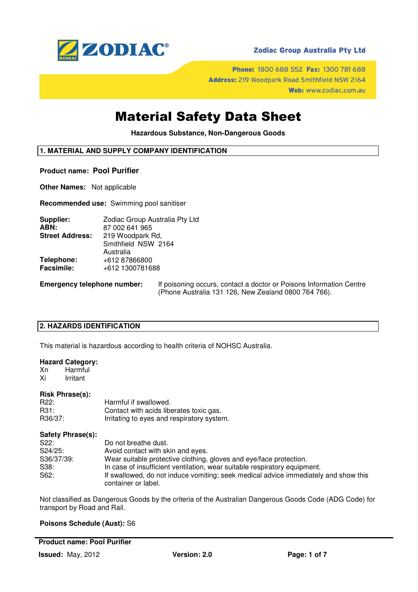

# **Zodiac Group Australia Pty Ltd**

Phone: 1800 688 552 Fax: 1300 781 688 Address: 219 Woodpark Road Smithfield NSW 2164 Web: www.zodiac.com.au

# Material Safety Data Sheet

**Hazardous Substance, Non-Dangerous Goods** 

# **1. MATERIAL AND SUPPLY COMPANY IDENTIFICATION**

#### **Product name: Pool Purifier**

**Other Names:** Not applicable

**Recommended use:** Swimming pool sanitiser

| Supplier:              | Zodiac Group Australia Pty Ltd |  |  |
|------------------------|--------------------------------|--|--|
| ABN:                   | 87 002 641 965                 |  |  |
| <b>Street Address:</b> | 219 Woodpark Rd,               |  |  |
|                        | Smithfield NSW 2164            |  |  |
|                        | Australia                      |  |  |
| Telephone:             | +612 87866800                  |  |  |
| <b>Facsimile:</b>      | +612 1300781688                |  |  |
|                        |                                |  |  |

**Emergency telephone number:** If poisoning occurs, contact a doctor or Poisons Information Centre (Phone Australia 131 126, New Zealand 0800 764 766).

# **2. HAZARDS IDENTIFICATION**

This material is hazardous according to health criteria of NOHSC Australia.

## **Hazard Category:**

Xn Harmful Xi Irritant

#### **Risk Phrase(s):**

| R22:    | Harmful if swallowed.                      |
|---------|--------------------------------------------|
| R31:    | Contact with acids liberates toxic gas.    |
| R36/37: | Irritating to eyes and respiratory system. |

# **Safety Phrase(s):**

| S22:       | Do not breathe dust.                                                                                       |
|------------|------------------------------------------------------------------------------------------------------------|
| S24/25:    | Avoid contact with skin and eyes.                                                                          |
| S36/37/39: | Wear suitable protective clothing, gloves and eye/face protection.                                         |
| S38:       | In case of insufficient ventilation, wear suitable respiratory equipment.                                  |
| S62:       | If swallowed, do not induce vomiting; seek medical advice immediately and show this<br>container or label. |

Not classified as Dangerous Goods by the criteria of the Australian Dangerous Goods Code (ADG Code) for transport by Road and Rail.

# **Poisons Schedule (Aust):** S6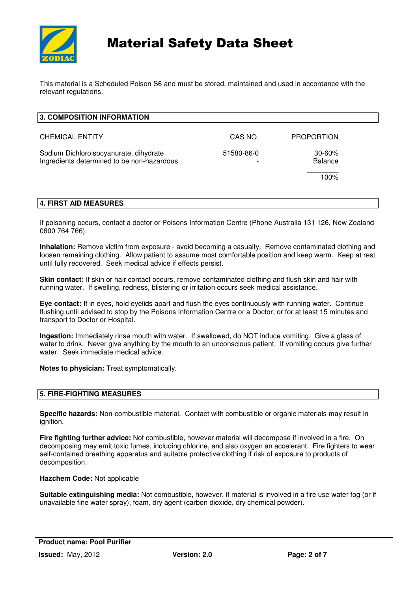

# Material Safety Data Sheet

This material is a Scheduled Poison S6 and must be stored, maintained and used in accordance with the relevant regulations.

| <b>3. COMPOSITION INFORMATION</b>                                                    |            |                       |
|--------------------------------------------------------------------------------------|------------|-----------------------|
| <b>CHEMICAL ENTITY</b>                                                               | CAS NO.    | <b>PROPORTION</b>     |
| Sodium Dichloroisocyanurate, dihydrate<br>Ingredients determined to be non-hazardous | 51580-86-0 | $30 - 60%$<br>Balance |
|                                                                                      |            | 100%                  |

# **4. FIRST AID MEASURES**

If poisoning occurs, contact a doctor or Poisons Information Centre (Phone Australia 131 126, New Zealand 0800 764 766).

**Inhalation:** Remove victim from exposure - avoid becoming a casualty. Remove contaminated clothing and loosen remaining clothing. Allow patient to assume most comfortable position and keep warm. Keep at rest until fully recovered. Seek medical advice if effects persist.

**Skin contact:** If skin or hair contact occurs, remove contaminated clothing and flush skin and hair with running water. If swelling, redness, blistering or irritation occurs seek medical assistance.

**Eye contact:** If in eyes, hold eyelids apart and flush the eyes continuously with running water. Continue flushing until advised to stop by the Poisons Information Centre or a Doctor; or for at least 15 minutes and transport to Doctor or Hospital.

**Ingestion:** Immediately rinse mouth with water. If swallowed, do NOT induce vomiting. Give a glass of water to drink. Never give anything by the mouth to an unconscious patient. If vomiting occurs give further water. Seek immediate medical advice.

**Notes to physician:** Treat symptomatically.

# **5. FIRE-FIGHTING MEASURES**

**Specific hazards:** Non-combustible material. Contact with combustible or organic materials may result in ignition.

**Fire fighting further advice:** Not combustible, however material will decompose if involved in a fire. On decomposing may emit toxic fumes, including chlorine, and also oxygen an accelerant. Fire fighters to wear self-contained breathing apparatus and suitable protective clothing if risk of exposure to products of decomposition.

**Hazchem Code:** Not applicable

**Suitable extinguishing media:** Not combustible, however, if material is involved in a fire use water fog (or if unavailable fine water spray), foam, dry agent (carbon dioxide, dry chemical powder).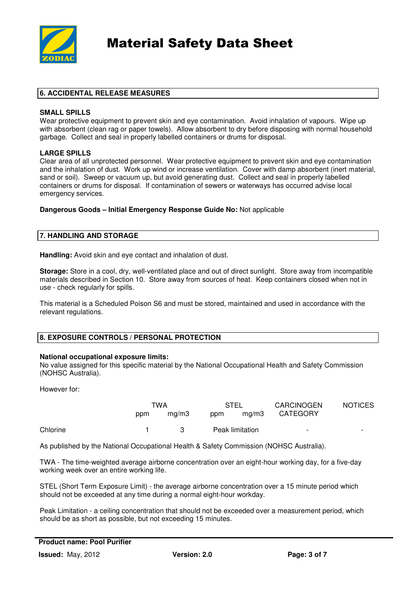

# **6. ACCIDENTAL RELEASE MEASURES**

## **SMALL SPILLS**

Wear protective equipment to prevent skin and eye contamination. Avoid inhalation of vapours. Wipe up with absorbent (clean rag or paper towels). Allow absorbent to dry before disposing with normal household garbage. Collect and seal in properly labelled containers or drums for disposal.

# **LARGE SPILLS**

Clear area of all unprotected personnel. Wear protective equipment to prevent skin and eye contamination and the inhalation of dust. Work up wind or increase ventilation. Cover with damp absorbent (inert material, sand or soil). Sweep or vacuum up, but avoid generating dust. Collect and seal in properly labelled containers or drums for disposal. If contamination of sewers or waterways has occurred advise local emergency services.

## **Dangerous Goods – Initial Emergency Response Guide No:** Not applicable

# **7. HANDLING AND STORAGE**

**Handling:** Avoid skin and eye contact and inhalation of dust.

**Storage:** Store in a cool, dry, well-ventilated place and out of direct sunlight. Store away from incompatible materials described in Section 10. Store away from sources of heat. Keep containers closed when not in use - check regularly for spills.

This material is a Scheduled Poison S6 and must be stored, maintained and used in accordance with the relevant regulations.

# **8. EXPOSURE CONTROLS / PERSONAL PROTECTION**

#### **National occupational exposure limits:**

No value assigned for this specific material by the National Occupational Health and Safety Commission (NOHSC Australia).

However for:

|          | TWA |       | <b>STEL</b>     |       | <b>CARCINOGEN</b>        | <b>NOTICES</b>           |
|----------|-----|-------|-----------------|-------|--------------------------|--------------------------|
|          | ppm | mq/m3 | ppm             | ma/m3 | <b>CATEGORY</b>          |                          |
| Chlorine |     | 3     | Peak limitation |       | $\overline{\phantom{0}}$ | $\overline{\phantom{a}}$ |

As published by the National Occupational Health & Safety Commission (NOHSC Australia).

TWA - The time-weighted average airborne concentration over an eight-hour working day, for a five-day working week over an entire working life.

STEL (Short Term Exposure Limit) - the average airborne concentration over a 15 minute period which should not be exceeded at any time during a normal eight-hour workday.

Peak Limitation - a ceiling concentration that should not be exceeded over a measurement period, which should be as short as possible, but not exceeding 15 minutes.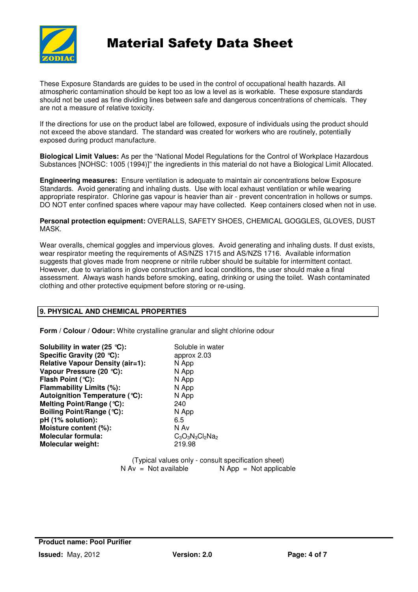

# Material Safety Data Sheet

These Exposure Standards are guides to be used in the control of occupational health hazards. All atmospheric contamination should be kept too as low a level as is workable. These exposure standards should not be used as fine dividing lines between safe and dangerous concentrations of chemicals. They are not a measure of relative toxicity.

If the directions for use on the product label are followed, exposure of individuals using the product should not exceed the above standard. The standard was created for workers who are routinely, potentially exposed during product manufacture.

**Biological Limit Values:** As per the "National Model Regulations for the Control of Workplace Hazardous Substances [NOHSC: 1005 (1994)]" the ingredients in this material do not have a Biological Limit Allocated.

**Engineering measures:** Ensure ventilation is adequate to maintain air concentrations below Exposure Standards. Avoid generating and inhaling dusts. Use with local exhaust ventilation or while wearing appropriate respirator. Chlorine gas vapour is heavier than air - prevent concentration in hollows or sumps. DO NOT enter confined spaces where vapour may have collected. Keep containers closed when not in use.

**Personal protection equipment:** OVERALLS, SAFETY SHOES, CHEMICAL GOGGLES, GLOVES, DUST MASK.

Wear overalls, chemical goggles and impervious gloves. Avoid generating and inhaling dusts. If dust exists, wear respirator meeting the requirements of AS/NZS 1715 and AS/NZS 1716. Available information suggests that gloves made from neoprene or nitrile rubber should be suitable for intermittent contact. However, due to variations in glove construction and local conditions, the user should make a final assessment. Always wash hands before smoking, eating, drinking or using the toilet. Wash contaminated clothing and other protective equipment before storing or re-using.

# **9. PHYSICAL AND CHEMICAL PROPERTIES**

**Form / Colour / Odour:** White crystalline granular and slight chlorine odour

**Solubility in water (25 °C):** Soluble in water **Specific Gravity (20 °C):** approx 2.03 **Relative Vapour Density (air=1):** N App **Vapour Pressure (20 °C):** N App **Flash Point (°C):** N App<br> **Flammability Limits (%):** N App **Flammability Limits (%):** N App<br> **Autoignition Temperature (°C):** N App **Autoignition Temperature (°C): Melting Point/Range (°C):** 240<br> **Boiling Point/Range (°C):** N App **Boiling Point/Range (°C): pH (1% solution):** 6.5 **Moisture content (%):**<br> **Molecular formula:** C<sub>3</sub>O<sub>3</sub>N<sub>3</sub>Cl<sub>2</sub>N<sub>a2</sub> **Molecular formula:** C<sub>3</sub>O<sub>3</sub>N<sub>3</sub>C<sub>3</sub>O<sub>3</sub>N<sub>3</sub> **Molecular weight:** 

(Typical values only - consult specification sheet)<br>  $N Av = Not available$ <br>  $N AOD = Not$  applica  $N$  App = Not applicable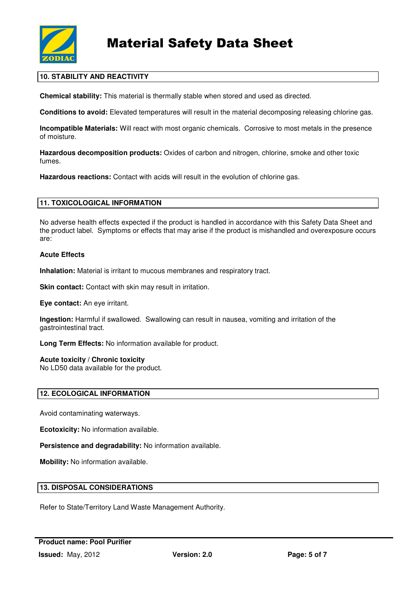

# **10. STABILITY AND REACTIVITY**

**Chemical stability:** This material is thermally stable when stored and used as directed.

**Conditions to avoid:** Elevated temperatures will result in the material decomposing releasing chlorine gas.

**Incompatible Materials:** Will react with most organic chemicals. Corrosive to most metals in the presence of moisture.

**Hazardous decomposition products:** Oxides of carbon and nitrogen, chlorine, smoke and other toxic fumes.

**Hazardous reactions:** Contact with acids will result in the evolution of chlorine gas.

## **11. TOXICOLOGICAL INFORMATION**

No adverse health effects expected if the product is handled in accordance with this Safety Data Sheet and the product label. Symptoms or effects that may arise if the product is mishandled and overexposure occurs are:

## **Acute Effects**

**Inhalation:** Material is irritant to mucous membranes and respiratory tract.

**Skin contact:** Contact with skin may result in irritation.

**Eye contact:** An eye irritant.

**Ingestion:** Harmful if swallowed. Swallowing can result in nausea, vomiting and irritation of the gastrointestinal tract.

**Long Term Effects:** No information available for product.

#### **Acute toxicity / Chronic toxicity**

No LD50 data available for the product.

#### **12. ECOLOGICAL INFORMATION**

Avoid contaminating waterways.

**Ecotoxicity:** No information available.

**Persistence and degradability:** No information available.

**Mobility:** No information available.

#### **13. DISPOSAL CONSIDERATIONS**

Refer to State/Territory Land Waste Management Authority.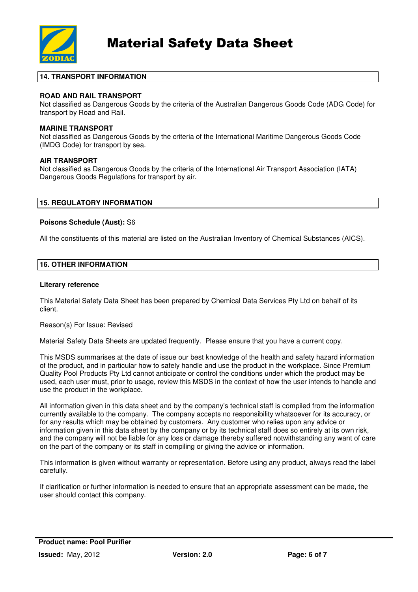

# **14. TRANSPORT INFORMATION**

# **ROAD AND RAIL TRANSPORT**

Not classified as Dangerous Goods by the criteria of the Australian Dangerous Goods Code (ADG Code) for transport by Road and Rail.

## **MARINE TRANSPORT**

Not classified as Dangerous Goods by the criteria of the International Maritime Dangerous Goods Code (IMDG Code) for transport by sea.

# **AIR TRANSPORT**

Not classified as Dangerous Goods by the criteria of the International Air Transport Association (IATA) Dangerous Goods Regulations for transport by air.

## **15. REGULATORY INFORMATION**

## **Poisons Schedule (Aust):** S6

All the constituents of this material are listed on the Australian Inventory of Chemical Substances (AICS).

# **16. OTHER INFORMATION**

#### **Literary reference**

This Material Safety Data Sheet has been prepared by Chemical Data Services Pty Ltd on behalf of its client.

#### Reason(s) For Issue: Revised

Material Safety Data Sheets are updated frequently. Please ensure that you have a current copy.

This MSDS summarises at the date of issue our best knowledge of the health and safety hazard information of the product, and in particular how to safely handle and use the product in the workplace. Since Premium Quality Pool Products Pty Ltd cannot anticipate or control the conditions under which the product may be used, each user must, prior to usage, review this MSDS in the context of how the user intends to handle and use the product in the workplace.

All information given in this data sheet and by the company's technical staff is compiled from the information currently available to the company. The company accepts no responsibility whatsoever for its accuracy, or for any results which may be obtained by customers. Any customer who relies upon any advice or information given in this data sheet by the company or by its technical staff does so entirely at its own risk, and the company will not be liable for any loss or damage thereby suffered notwithstanding any want of care on the part of the company or its staff in compiling or giving the advice or information.

This information is given without warranty or representation. Before using any product, always read the label carefully.

If clarification or further information is needed to ensure that an appropriate assessment can be made, the user should contact this company.